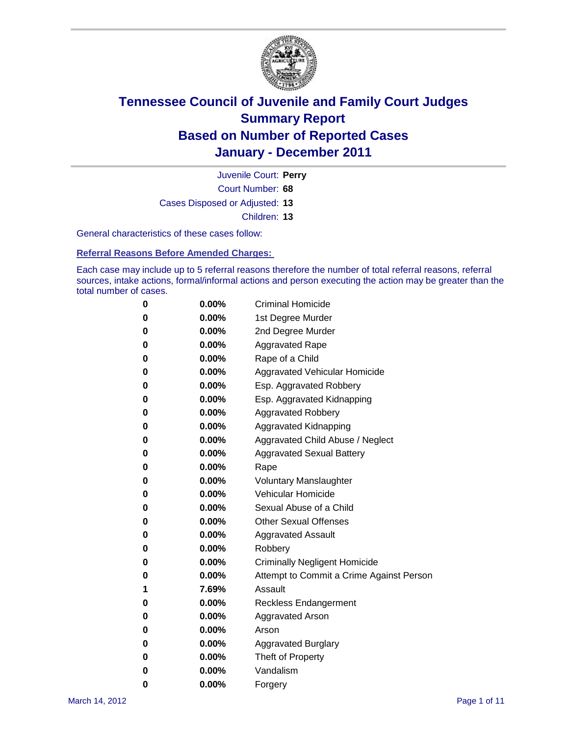

Court Number: **68** Juvenile Court: **Perry** Cases Disposed or Adjusted: **13** Children: **13**

General characteristics of these cases follow:

**Referral Reasons Before Amended Charges:** 

Each case may include up to 5 referral reasons therefore the number of total referral reasons, referral sources, intake actions, formal/informal actions and person executing the action may be greater than the total number of cases.

| 0 | $0.00\%$ | <b>Criminal Homicide</b>                 |  |  |  |  |
|---|----------|------------------------------------------|--|--|--|--|
| 0 | $0.00\%$ | 1st Degree Murder                        |  |  |  |  |
| 0 | $0.00\%$ | 2nd Degree Murder                        |  |  |  |  |
| 0 | $0.00\%$ | <b>Aggravated Rape</b>                   |  |  |  |  |
| 0 | $0.00\%$ | Rape of a Child                          |  |  |  |  |
| 0 | $0.00\%$ | Aggravated Vehicular Homicide            |  |  |  |  |
| 0 | $0.00\%$ | Esp. Aggravated Robbery                  |  |  |  |  |
| 0 | $0.00\%$ | Esp. Aggravated Kidnapping               |  |  |  |  |
| 0 | $0.00\%$ | <b>Aggravated Robbery</b>                |  |  |  |  |
| 0 | $0.00\%$ | Aggravated Kidnapping                    |  |  |  |  |
| 0 | 0.00%    | Aggravated Child Abuse / Neglect         |  |  |  |  |
| 0 | 0.00%    | <b>Aggravated Sexual Battery</b>         |  |  |  |  |
| 0 | $0.00\%$ | Rape                                     |  |  |  |  |
| 0 | $0.00\%$ | <b>Voluntary Manslaughter</b>            |  |  |  |  |
| 0 | $0.00\%$ | Vehicular Homicide                       |  |  |  |  |
| 0 | $0.00\%$ | Sexual Abuse of a Child                  |  |  |  |  |
| 0 | $0.00\%$ | <b>Other Sexual Offenses</b>             |  |  |  |  |
| 0 | $0.00\%$ | <b>Aggravated Assault</b>                |  |  |  |  |
| 0 | 0.00%    | Robbery                                  |  |  |  |  |
| 0 | $0.00\%$ | <b>Criminally Negligent Homicide</b>     |  |  |  |  |
| 0 | $0.00\%$ | Attempt to Commit a Crime Against Person |  |  |  |  |
| 1 | 7.69%    | Assault                                  |  |  |  |  |
| 0 | $0.00\%$ | <b>Reckless Endangerment</b>             |  |  |  |  |
| 0 | $0.00\%$ | <b>Aggravated Arson</b>                  |  |  |  |  |
| 0 | $0.00\%$ | Arson                                    |  |  |  |  |
| 0 | $0.00\%$ | <b>Aggravated Burglary</b>               |  |  |  |  |
| 0 | $0.00\%$ | Theft of Property                        |  |  |  |  |
| 0 | 0.00%    | Vandalism                                |  |  |  |  |
| 0 | $0.00\%$ | Forgery                                  |  |  |  |  |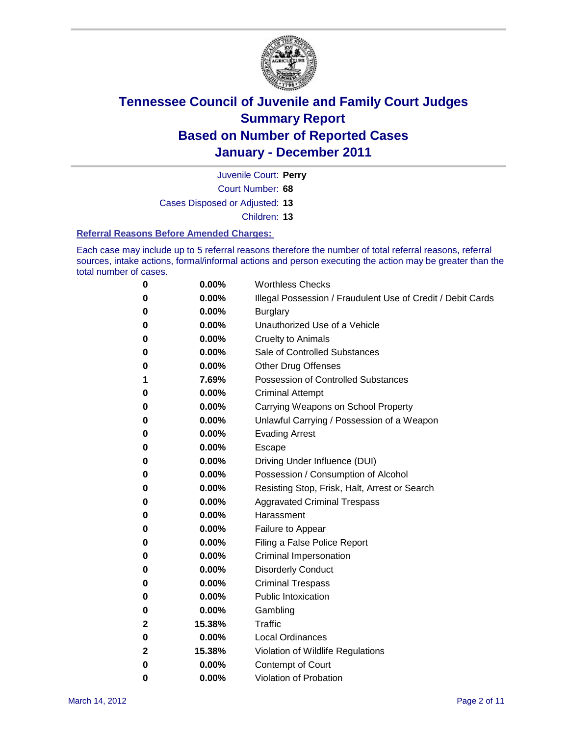

Juvenile Court: **Perry**

Court Number: **68**

Cases Disposed or Adjusted: **13**

Children: **13**

#### **Referral Reasons Before Amended Charges:**

Each case may include up to 5 referral reasons therefore the number of total referral reasons, referral sources, intake actions, formal/informal actions and person executing the action may be greater than the total number of cases.

| 0 | 0.00%    | <b>Worthless Checks</b>                                     |
|---|----------|-------------------------------------------------------------|
| 0 | 0.00%    | Illegal Possession / Fraudulent Use of Credit / Debit Cards |
| 0 | 0.00%    | <b>Burglary</b>                                             |
| 0 | $0.00\%$ | Unauthorized Use of a Vehicle                               |
| 0 | $0.00\%$ | <b>Cruelty to Animals</b>                                   |
| 0 | $0.00\%$ | Sale of Controlled Substances                               |
| 0 | $0.00\%$ | <b>Other Drug Offenses</b>                                  |
| 1 | 7.69%    | <b>Possession of Controlled Substances</b>                  |
| 0 | 0.00%    | <b>Criminal Attempt</b>                                     |
| 0 | 0.00%    | Carrying Weapons on School Property                         |
| 0 | 0.00%    | Unlawful Carrying / Possession of a Weapon                  |
| 0 | $0.00\%$ | <b>Evading Arrest</b>                                       |
| 0 | $0.00\%$ | Escape                                                      |
| 0 | $0.00\%$ | Driving Under Influence (DUI)                               |
| 0 | $0.00\%$ | Possession / Consumption of Alcohol                         |
| 0 | $0.00\%$ | Resisting Stop, Frisk, Halt, Arrest or Search               |
| 0 | $0.00\%$ | <b>Aggravated Criminal Trespass</b>                         |
| 0 | $0.00\%$ | Harassment                                                  |
| 0 | 0.00%    | Failure to Appear                                           |
| 0 | 0.00%    | Filing a False Police Report                                |
| 0 | 0.00%    | Criminal Impersonation                                      |
| 0 | 0.00%    | <b>Disorderly Conduct</b>                                   |
| 0 | $0.00\%$ | <b>Criminal Trespass</b>                                    |
| 0 | 0.00%    | <b>Public Intoxication</b>                                  |
| 0 | $0.00\%$ | Gambling                                                    |
| 2 | 15.38%   | Traffic                                                     |
| 0 | $0.00\%$ | <b>Local Ordinances</b>                                     |
| 2 | 15.38%   | Violation of Wildlife Regulations                           |
| 0 | $0.00\%$ | Contempt of Court                                           |
| 0 | 0.00%    | Violation of Probation                                      |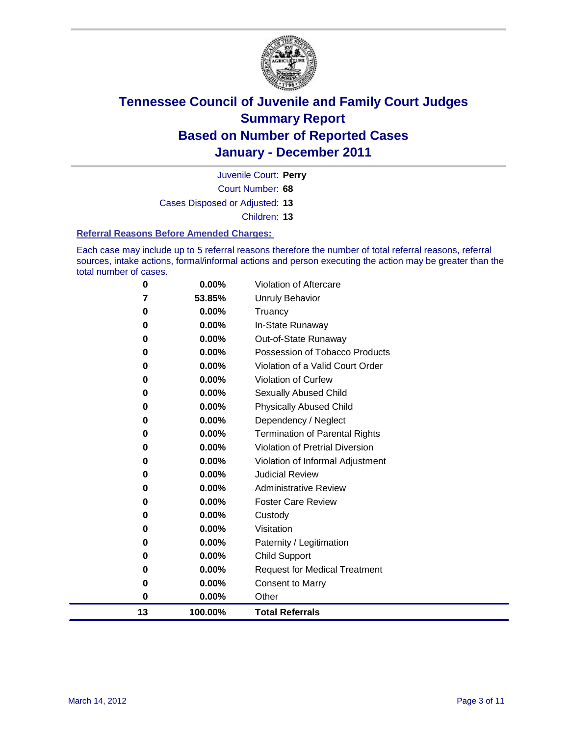

Court Number: **68** Juvenile Court: **Perry** Cases Disposed or Adjusted: **13**

Children: **13**

#### **Referral Reasons Before Amended Charges:**

Each case may include up to 5 referral reasons therefore the number of total referral reasons, referral sources, intake actions, formal/informal actions and person executing the action may be greater than the total number of cases.

| 13       | 100.00%  | <b>Total Referrals</b>                 |
|----------|----------|----------------------------------------|
| 0        | 0.00%    | Other                                  |
| 0        | 0.00%    | <b>Consent to Marry</b>                |
| 0        | 0.00%    | <b>Request for Medical Treatment</b>   |
| 0        | 0.00%    | <b>Child Support</b>                   |
| 0        | 0.00%    | Paternity / Legitimation               |
| 0        | 0.00%    | Visitation                             |
| 0        | 0.00%    | Custody                                |
| 0        | 0.00%    | <b>Foster Care Review</b>              |
| 0        | $0.00\%$ | <b>Administrative Review</b>           |
| 0        | 0.00%    | <b>Judicial Review</b>                 |
| 0        | 0.00%    | Violation of Informal Adjustment       |
| 0        | 0.00%    | <b>Violation of Pretrial Diversion</b> |
| 0        | 0.00%    | Termination of Parental Rights         |
| 0        | 0.00%    | Dependency / Neglect                   |
| $\bf{0}$ | 0.00%    | <b>Physically Abused Child</b>         |
| 0        | 0.00%    | Sexually Abused Child                  |
| 0        | 0.00%    | Violation of Curfew                    |
| 0        | $0.00\%$ | Violation of a Valid Court Order       |
| 0        | 0.00%    | Possession of Tobacco Products         |
| 0        | 0.00%    | Out-of-State Runaway                   |
| 0        | 0.00%    | In-State Runaway                       |
| 0        | 0.00%    | Truancy                                |
| 7        | 53.85%   | <b>Unruly Behavior</b>                 |
| 0        | 0.00%    | Violation of Aftercare                 |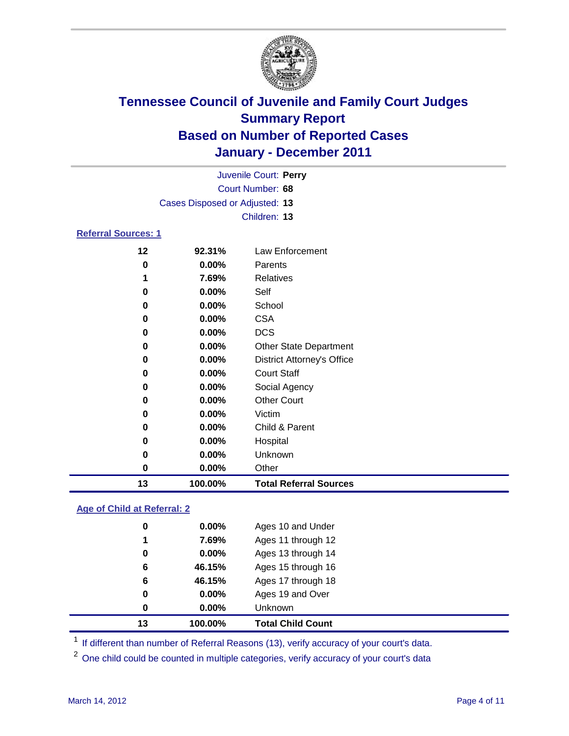

| Juvenile Court: Perry      |                                |                                   |  |
|----------------------------|--------------------------------|-----------------------------------|--|
|                            |                                | Court Number: 68                  |  |
|                            | Cases Disposed or Adjusted: 13 |                                   |  |
|                            |                                | Children: 13                      |  |
| <b>Referral Sources: 1</b> |                                |                                   |  |
| 12                         | 92.31%                         | Law Enforcement                   |  |
| 0                          | 0.00%                          | Parents                           |  |
| 1                          | 7.69%                          | <b>Relatives</b>                  |  |
| 0                          | 0.00%                          | Self                              |  |
| 0                          | 0.00%                          | School                            |  |
| 0                          | 0.00%                          | <b>CSA</b>                        |  |
| 0                          | 0.00%                          | <b>DCS</b>                        |  |
| 0                          | 0.00%                          | Other State Department            |  |
| 0                          | 0.00%                          | <b>District Attorney's Office</b> |  |
| 0                          | 0.00%                          | <b>Court Staff</b>                |  |
| 0                          | 0.00%                          | Social Agency                     |  |
| 0                          | 0.00%                          | <b>Other Court</b>                |  |
| 0                          | 0.00%                          | Victim                            |  |
| 0                          | 0.00%                          | Child & Parent                    |  |
| 0                          | 0.00%                          | Hospital                          |  |
| 0                          | 0.00%                          | Unknown                           |  |
| 0                          | 0.00%                          | Other                             |  |
| 13                         | 100.00%                        | <b>Total Referral Sources</b>     |  |

### **Age of Child at Referral: 2**

| 13 | 100.00%  | <b>Total Child Count</b> |
|----|----------|--------------------------|
| 0  | 0.00%    | <b>Unknown</b>           |
| 0  | 0.00%    | Ages 19 and Over         |
| 6  | 46.15%   | Ages 17 through 18       |
| 6  | 46.15%   | Ages 15 through 16       |
| 0  | 0.00%    | Ages 13 through 14       |
| 1  | 7.69%    | Ages 11 through 12       |
| 0  | $0.00\%$ | Ages 10 and Under        |
|    |          |                          |

<sup>1</sup> If different than number of Referral Reasons (13), verify accuracy of your court's data.

<sup>2</sup> One child could be counted in multiple categories, verify accuracy of your court's data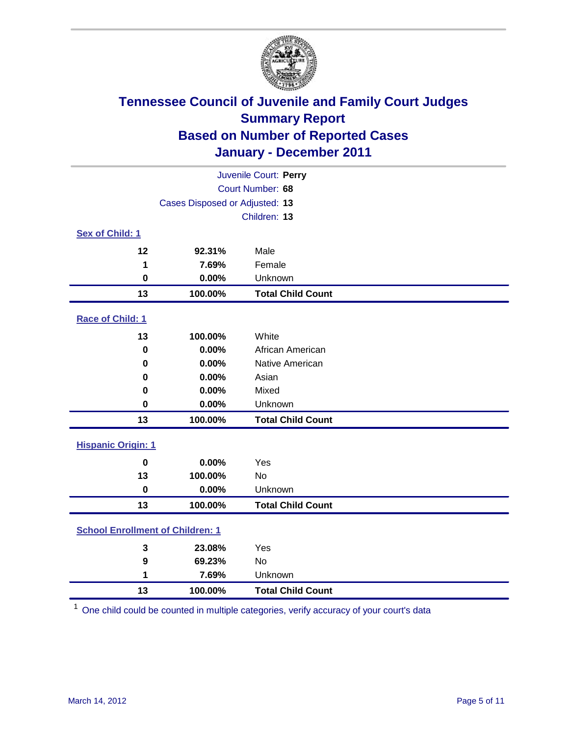

| Juvenile Court: Perry                   |                                |                          |  |  |  |
|-----------------------------------------|--------------------------------|--------------------------|--|--|--|
| Court Number: 68                        |                                |                          |  |  |  |
|                                         | Cases Disposed or Adjusted: 13 |                          |  |  |  |
|                                         |                                | Children: 13             |  |  |  |
| Sex of Child: 1                         |                                |                          |  |  |  |
| 12                                      | 92.31%                         | Male                     |  |  |  |
| 1                                       | 7.69%                          | Female                   |  |  |  |
| $\mathbf 0$                             | 0.00%                          | Unknown                  |  |  |  |
| 13                                      | 100.00%                        | <b>Total Child Count</b> |  |  |  |
| Race of Child: 1                        |                                |                          |  |  |  |
| 13                                      | 100.00%                        | White                    |  |  |  |
| $\mathbf 0$                             | 0.00%                          | African American         |  |  |  |
| 0                                       | 0.00%                          | Native American          |  |  |  |
| 0                                       | 0.00%                          | Asian                    |  |  |  |
| 0                                       | 0.00%                          | Mixed                    |  |  |  |
| 0                                       | 0.00%                          | Unknown                  |  |  |  |
| 13                                      | 100.00%                        | <b>Total Child Count</b> |  |  |  |
| <b>Hispanic Origin: 1</b>               |                                |                          |  |  |  |
| $\mathbf 0$                             | 0.00%                          | Yes                      |  |  |  |
| 13                                      | 100.00%                        | No                       |  |  |  |
| $\mathbf 0$                             | 0.00%                          | Unknown                  |  |  |  |
| 13                                      | 100.00%                        | <b>Total Child Count</b> |  |  |  |
| <b>School Enrollment of Children: 1</b> |                                |                          |  |  |  |
| $\mathbf 3$                             | 23.08%                         | Yes                      |  |  |  |
| 9                                       | 69.23%                         | No                       |  |  |  |
| 1                                       | 7.69%                          | Unknown                  |  |  |  |
| 13                                      | 100.00%                        | <b>Total Child Count</b> |  |  |  |

One child could be counted in multiple categories, verify accuracy of your court's data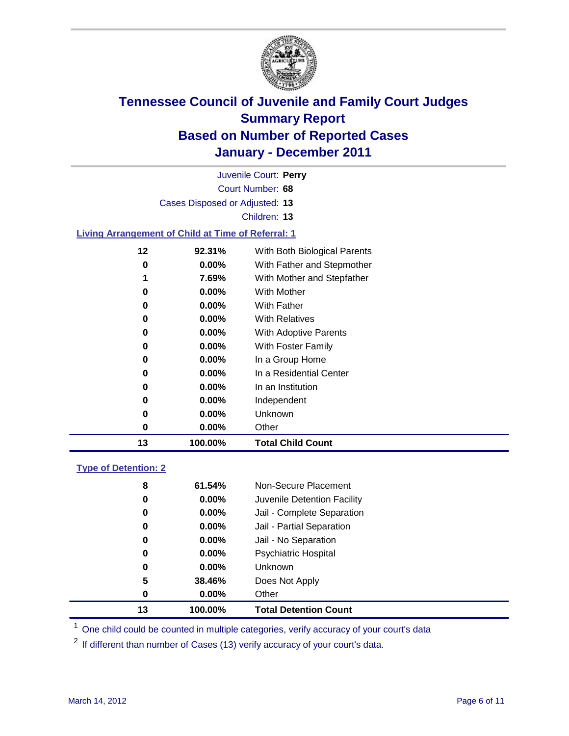

| Juvenile Court: Perry                                     |          |                              |  |  |  |
|-----------------------------------------------------------|----------|------------------------------|--|--|--|
| Court Number: 68                                          |          |                              |  |  |  |
| Cases Disposed or Adjusted: 13                            |          |                              |  |  |  |
|                                                           |          | Children: 13                 |  |  |  |
| <b>Living Arrangement of Child at Time of Referral: 1</b> |          |                              |  |  |  |
| 12                                                        | 92.31%   | With Both Biological Parents |  |  |  |
| 0                                                         | $0.00\%$ | With Father and Stepmother   |  |  |  |
| 1                                                         | 7.69%    | With Mother and Stepfather   |  |  |  |
| 0                                                         | $0.00\%$ | With Mother                  |  |  |  |
| 0                                                         | $0.00\%$ | <b>With Father</b>           |  |  |  |
| 0                                                         | $0.00\%$ | <b>With Relatives</b>        |  |  |  |
| 0                                                         | $0.00\%$ | With Adoptive Parents        |  |  |  |
| 0                                                         | $0.00\%$ | With Foster Family           |  |  |  |
| 0                                                         | $0.00\%$ | In a Group Home              |  |  |  |
| 0                                                         | $0.00\%$ | In a Residential Center      |  |  |  |
| 0                                                         | $0.00\%$ | In an Institution            |  |  |  |
| 0                                                         | $0.00\%$ | Independent                  |  |  |  |
| 0                                                         | $0.00\%$ | Unknown                      |  |  |  |

### **Type of Detention: 2**

| 13 | 100.00%  | <b>Total Detention Count</b> |
|----|----------|------------------------------|
| 0  | $0.00\%$ | Other                        |
| 5  | 38.46%   | Does Not Apply               |
| 0  | $0.00\%$ | <b>Unknown</b>               |
| 0  | 0.00%    | <b>Psychiatric Hospital</b>  |
| 0  | 0.00%    | Jail - No Separation         |
| 0  | $0.00\%$ | Jail - Partial Separation    |
| 0  | 0.00%    | Jail - Complete Separation   |
| 0  | $0.00\%$ | Juvenile Detention Facility  |
| 8  | 61.54%   | Non-Secure Placement         |
|    |          |                              |

<sup>1</sup> One child could be counted in multiple categories, verify accuracy of your court's data

<sup>2</sup> If different than number of Cases (13) verify accuracy of your court's data.

**0.00%** Other

**100.00% Total Child Count**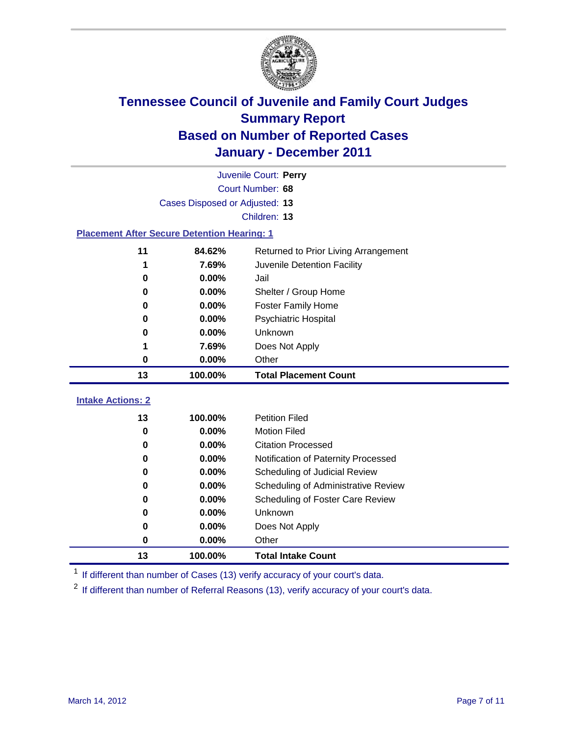

|                                                    | Juvenile Court: Perry          |                                      |  |  |  |
|----------------------------------------------------|--------------------------------|--------------------------------------|--|--|--|
|                                                    | Court Number: 68               |                                      |  |  |  |
|                                                    | Cases Disposed or Adjusted: 13 |                                      |  |  |  |
|                                                    |                                | Children: 13                         |  |  |  |
| <b>Placement After Secure Detention Hearing: 1</b> |                                |                                      |  |  |  |
| 11                                                 | 84.62%                         | Returned to Prior Living Arrangement |  |  |  |
| 1                                                  | 7.69%                          | Juvenile Detention Facility          |  |  |  |
| 0                                                  | 0.00%                          | Jail                                 |  |  |  |
| 0                                                  | 0.00%                          | Shelter / Group Home                 |  |  |  |
| 0                                                  | 0.00%                          | <b>Foster Family Home</b>            |  |  |  |
| 0                                                  | 0.00%                          | Psychiatric Hospital                 |  |  |  |
| 0                                                  | 0.00%                          | Unknown                              |  |  |  |
| 1                                                  | 7.69%                          | Does Not Apply                       |  |  |  |
| 0                                                  | 0.00%                          | Other                                |  |  |  |
| 13                                                 | 100.00%                        | <b>Total Placement Count</b>         |  |  |  |
|                                                    |                                |                                      |  |  |  |
| <b>Intake Actions: 2</b>                           |                                |                                      |  |  |  |
| 13                                                 | 100.00%                        | <b>Petition Filed</b>                |  |  |  |
| 0                                                  | 0.00%                          | <b>Motion Filed</b>                  |  |  |  |
| 0                                                  | 0.00%                          | <b>Citation Processed</b>            |  |  |  |
| 0                                                  | 0.00%                          | Notification of Paternity Processed  |  |  |  |
| 0                                                  | 0.00%                          | Scheduling of Judicial Review        |  |  |  |
| 0                                                  | 0.00%                          | Scheduling of Administrative Review  |  |  |  |
| 0                                                  | 0.00%                          | Scheduling of Foster Care Review     |  |  |  |
| 0                                                  | 0.00%                          | Unknown                              |  |  |  |
| 0                                                  | 0.00%                          | Does Not Apply                       |  |  |  |
| 0                                                  | 0.00%                          | Other                                |  |  |  |
| 13                                                 | 100.00%                        | <b>Total Intake Count</b>            |  |  |  |

<sup>1</sup> If different than number of Cases (13) verify accuracy of your court's data.

<sup>2</sup> If different than number of Referral Reasons (13), verify accuracy of your court's data.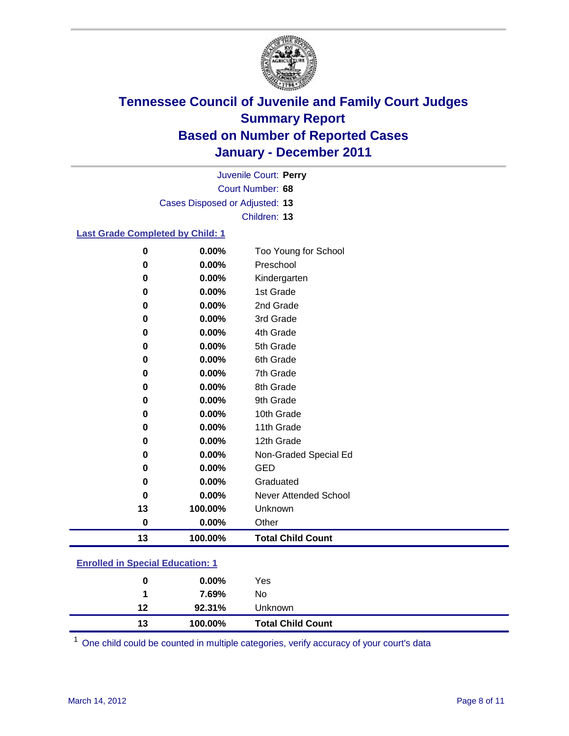

Court Number: **68** Juvenile Court: **Perry** Cases Disposed or Adjusted: **13** Children: **13**

### **Last Grade Completed by Child: 1**

| 0         | 0.00%   | Too Young for School         |
|-----------|---------|------------------------------|
| 0         | 0.00%   | Preschool                    |
| 0         | 0.00%   | Kindergarten                 |
| 0         | 0.00%   | 1st Grade                    |
| 0         | 0.00%   | 2nd Grade                    |
| 0         | 0.00%   | 3rd Grade                    |
| 0         | 0.00%   | 4th Grade                    |
| 0         | 0.00%   | 5th Grade                    |
| 0         | 0.00%   | 6th Grade                    |
| 0         | 0.00%   | 7th Grade                    |
| 0         | 0.00%   | 8th Grade                    |
| 0         | 0.00%   | 9th Grade                    |
| 0         | 0.00%   | 10th Grade                   |
| 0         | 0.00%   | 11th Grade                   |
| 0         | 0.00%   | 12th Grade                   |
| 0         | 0.00%   | Non-Graded Special Ed        |
| 0         | 0.00%   | <b>GED</b>                   |
| 0         | 0.00%   | Graduated                    |
| 0         | 0.00%   | <b>Never Attended School</b> |
| 13        | 100.00% | Unknown                      |
| $\pmb{0}$ | 0.00%   | Other                        |
| 13        | 100.00% | <b>Total Child Count</b>     |

### **Enrolled in Special Education: 1**

| 13 | 100.00%  | <b>Total Child Count</b> |
|----|----------|--------------------------|
| 12 | 92.31%   | <b>Unknown</b>           |
|    | 7.69%    | No                       |
| 0  | $0.00\%$ | Yes                      |
|    |          |                          |

One child could be counted in multiple categories, verify accuracy of your court's data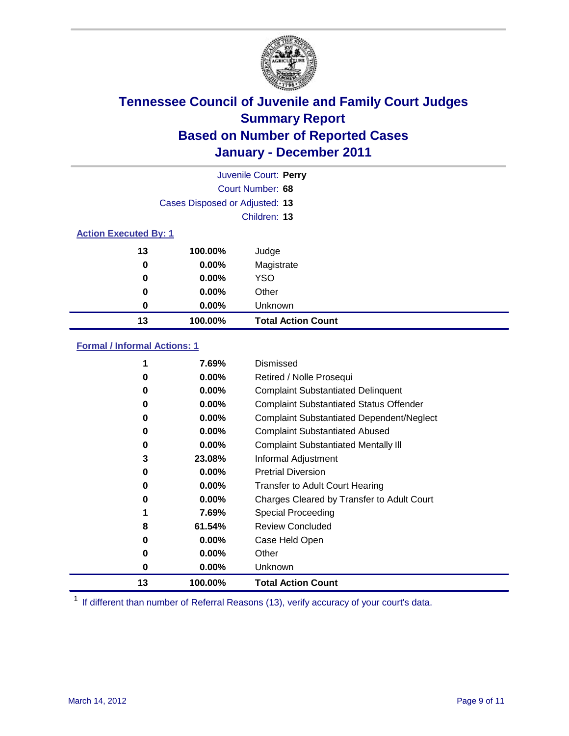

|                              | Juvenile Court: Perry          |                           |  |  |
|------------------------------|--------------------------------|---------------------------|--|--|
|                              | Court Number: 68               |                           |  |  |
|                              | Cases Disposed or Adjusted: 13 |                           |  |  |
|                              |                                | Children: 13              |  |  |
| <b>Action Executed By: 1</b> |                                |                           |  |  |
| 13                           | 100.00%                        | Judge                     |  |  |
| $\bf{0}$                     | $0.00\%$                       | Magistrate                |  |  |
| $\bf{0}$                     | $0.00\%$                       | <b>YSO</b>                |  |  |
| 0                            | 0.00%                          | Other                     |  |  |
| 0                            | 0.00%                          | Unknown                   |  |  |
| 13                           | 100.00%                        | <b>Total Action Count</b> |  |  |

### **Formal / Informal Actions: 1**

|    | 7.69%    | Dismissed                                        |
|----|----------|--------------------------------------------------|
| 0  | $0.00\%$ | Retired / Nolle Prosequi                         |
| 0  | $0.00\%$ | <b>Complaint Substantiated Delinquent</b>        |
| 0  | $0.00\%$ | <b>Complaint Substantiated Status Offender</b>   |
| 0  | $0.00\%$ | <b>Complaint Substantiated Dependent/Neglect</b> |
| 0  | $0.00\%$ | <b>Complaint Substantiated Abused</b>            |
| 0  | $0.00\%$ | <b>Complaint Substantiated Mentally III</b>      |
| 3  | 23.08%   | Informal Adjustment                              |
| 0  | $0.00\%$ | <b>Pretrial Diversion</b>                        |
| 0  | $0.00\%$ | <b>Transfer to Adult Court Hearing</b>           |
| 0  | $0.00\%$ | Charges Cleared by Transfer to Adult Court       |
|    | 7.69%    | Special Proceeding                               |
| 8  | 61.54%   | <b>Review Concluded</b>                          |
| 0  | $0.00\%$ | Case Held Open                                   |
| 0  | $0.00\%$ | Other                                            |
| 0  | $0.00\%$ | <b>Unknown</b>                                   |
| 13 | 100.00%  | <b>Total Action Count</b>                        |

<sup>1</sup> If different than number of Referral Reasons (13), verify accuracy of your court's data.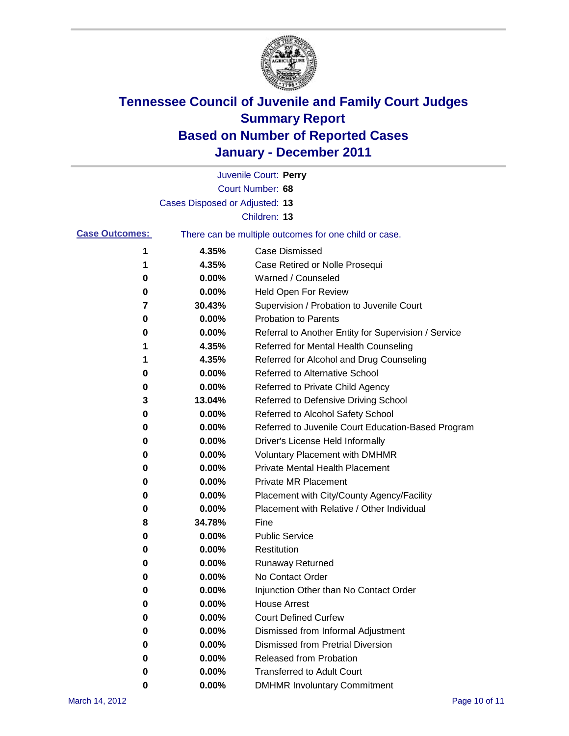

|                       |                                | Juvenile Court: Perry                                 |
|-----------------------|--------------------------------|-------------------------------------------------------|
|                       |                                | Court Number: 68                                      |
|                       | Cases Disposed or Adjusted: 13 |                                                       |
|                       |                                | Children: 13                                          |
| <b>Case Outcomes:</b> |                                | There can be multiple outcomes for one child or case. |
| 1                     | 4.35%                          | <b>Case Dismissed</b>                                 |
| 1                     | 4.35%                          | Case Retired or Nolle Prosequi                        |
| 0                     | 0.00%                          | Warned / Counseled                                    |
| 0                     | 0.00%                          | <b>Held Open For Review</b>                           |
| 7                     | 30.43%                         | Supervision / Probation to Juvenile Court             |
| 0                     | 0.00%                          | <b>Probation to Parents</b>                           |
| 0                     | 0.00%                          | Referral to Another Entity for Supervision / Service  |
| 1                     | 4.35%                          | Referred for Mental Health Counseling                 |
| 1                     | 4.35%                          | Referred for Alcohol and Drug Counseling              |
| 0                     | 0.00%                          | <b>Referred to Alternative School</b>                 |
| 0                     | 0.00%                          | Referred to Private Child Agency                      |
| 3                     | 13.04%                         | Referred to Defensive Driving School                  |
| 0                     | 0.00%                          | Referred to Alcohol Safety School                     |
| 0                     | 0.00%                          | Referred to Juvenile Court Education-Based Program    |
| 0                     | 0.00%                          | Driver's License Held Informally                      |
| 0                     | 0.00%                          | <b>Voluntary Placement with DMHMR</b>                 |
| 0                     | 0.00%                          | <b>Private Mental Health Placement</b>                |
| 0                     | 0.00%                          | <b>Private MR Placement</b>                           |
| 0                     | 0.00%                          | Placement with City/County Agency/Facility            |
| 0                     | 0.00%                          | Placement with Relative / Other Individual            |
| 8                     | 34.78%                         | Fine                                                  |
| 0                     | 0.00%                          | <b>Public Service</b>                                 |
| 0                     | 0.00%                          | Restitution                                           |
| 0                     | 0.00%                          | <b>Runaway Returned</b>                               |
| 0                     | 0.00%                          | No Contact Order                                      |
| 0                     | 0.00%                          | Injunction Other than No Contact Order                |
| 0                     | 0.00%                          | <b>House Arrest</b>                                   |
| 0                     | 0.00%                          | <b>Court Defined Curfew</b>                           |
| 0                     | 0.00%                          | Dismissed from Informal Adjustment                    |
| 0                     | 0.00%                          | <b>Dismissed from Pretrial Diversion</b>              |
| 0                     | 0.00%                          | <b>Released from Probation</b>                        |
| 0                     | 0.00%                          | <b>Transferred to Adult Court</b>                     |
| $\bf{0}$              | 0.00%                          | <b>DMHMR Involuntary Commitment</b>                   |